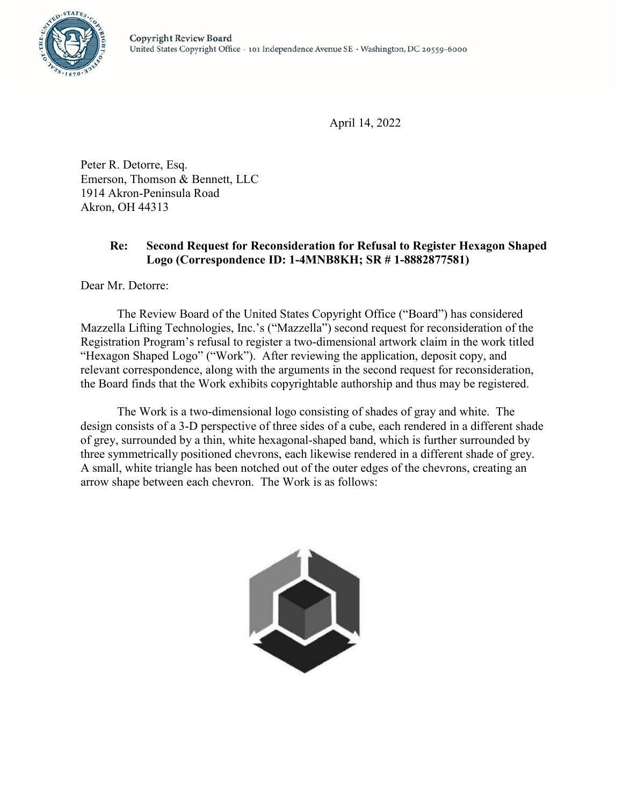

April 14, 2022

Peter R. Detorre, Esq. Emerson, Thomson & Bennett, LLC 1914 Akron-Peninsula Road Akron, OH 44313

## **Re: Second Request for Reconsideration for Refusal to Register Hexagon Shaped Logo (Correspondence ID: 1-4MNB8KH; SR # 1-8882877581)**

Dear Mr. Detorre:

The Review Board of the United States Copyright Office ("Board") has considered Mazzella Lifting Technologies, Inc.'s ("Mazzella") second request for reconsideration of the Registration Program's refusal to register a two-dimensional artwork claim in the work titled "Hexagon Shaped Logo" ("Work"). After reviewing the application, deposit copy, and relevant correspondence, along with the arguments in the second request for reconsideration, the Board finds that the Work exhibits copyrightable authorship and thus may be registered.

The Work is a two-dimensional logo consisting of shades of gray and white. The design consists of a 3-D perspective of three sides of a cube, each rendered in a different shade of grey, surrounded by a thin, white hexagonal-shaped band, which is further surrounded by three symmetrically positioned chevrons, each likewise rendered in a different shade of grey. A small, white triangle has been notched out of the outer edges of the chevrons, creating an arrow shape between each chevron. The Work is as follows:

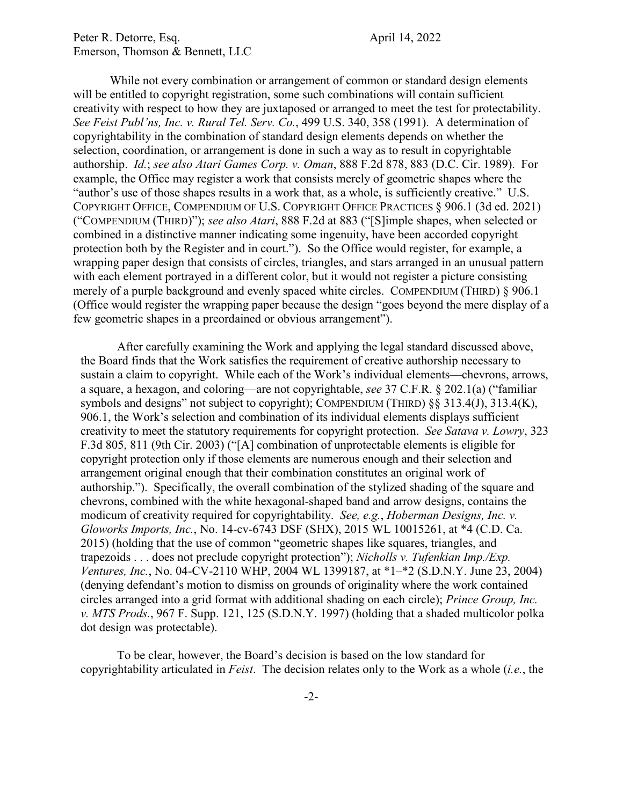## Peter R. Detorre, Esq.  $\blacksquare$ Emerson, Thomson & Bennett, LLC

While not every combination or arrangement of common or standard design elements will be entitled to copyright registration, some such combinations will contain sufficient creativity with respect to how they are juxtaposed or arranged to meet the test for protectability. *See Feist Publ'ns, Inc. v. Rural Tel. Serv. Co.*, 499 U.S. 340, 358 (1991). A determination of copyrightability in the combination of standard design elements depends on whether the selection, coordination, or arrangement is done in such a way as to result in copyrightable authorship. *Id.*; *see also Atari Games Corp. v. Oman*, 888 F.2d 878, 883 (D.C. Cir. 1989). For example, the Office may register a work that consists merely of geometric shapes where the "author's use of those shapes results in a work that, as a whole, is sufficiently creative." U.S. COPYRIGHT OFFICE, COMPENDIUM OF U.S. COPYRIGHT OFFICE PRACTICES § 906.1 (3d ed. 2021) ("COMPENDIUM (THIRD)"); *see also Atari*, 888 F.2d at 883 ("[S]imple shapes, when selected or combined in a distinctive manner indicating some ingenuity, have been accorded copyright protection both by the Register and in court."). So the Office would register, for example, a wrapping paper design that consists of circles, triangles, and stars arranged in an unusual pattern with each element portrayed in a different color, but it would not register a picture consisting merely of a purple background and evenly spaced white circles. COMPENDIUM (THIRD) § 906.1 (Office would register the wrapping paper because the design "goes beyond the mere display of a few geometric shapes in a preordained or obvious arrangement").

After carefully examining the Work and applying the legal standard discussed above, the Board finds that the Work satisfies the requirement of creative authorship necessary to sustain a claim to copyright. While each of the Work's individual elements—chevrons, arrows, a square, a hexagon, and coloring—are not copyrightable, *see* 37 C.F.R. § 202.1(a) ("familiar symbols and designs" not subject to copyright); COMPENDIUM (THIRD) §§ 313.4(J), 313.4(K), 906.1, the Work's selection and combination of its individual elements displays sufficient creativity to meet the statutory requirements for copyright protection. *See Satava v. Lowry*, 323 F.3d 805, 811 (9th Cir. 2003) ("[A] combination of unprotectable elements is eligible for copyright protection only if those elements are numerous enough and their selection and arrangement original enough that their combination constitutes an original work of authorship."). Specifically, the overall combination of the stylized shading of the square and chevrons, combined with the white hexagonal-shaped band and arrow designs, contains the modicum of creativity required for copyrightability. *See, e.g.*, *Hoberman Designs, Inc. v. Gloworks Imports, Inc.*, No. 14-cv-6743 DSF (SHX), 2015 WL 10015261, at \*4 (C.D. Ca. 2015) (holding that the use of common "geometric shapes like squares, triangles, and trapezoids . . . does not preclude copyright protection"); *Nicholls v. Tufenkian Imp./Exp. Ventures, Inc.*, No. 04-CV-2110 WHP, 2004 WL 1399187, at \*1–\*2 (S.D.N.Y. June 23, 2004) (denying defendant's motion to dismiss on grounds of originality where the work contained circles arranged into a grid format with additional shading on each circle); *Prince Group, Inc. v. MTS Prods.*, 967 F. Supp. 121, 125 (S.D.N.Y. 1997) (holding that a shaded multicolor polka dot design was protectable).

To be clear, however, the Board's decision is based on the low standard for copyrightability articulated in *Feist*. The decision relates only to the Work as a whole (*i.e.*, the